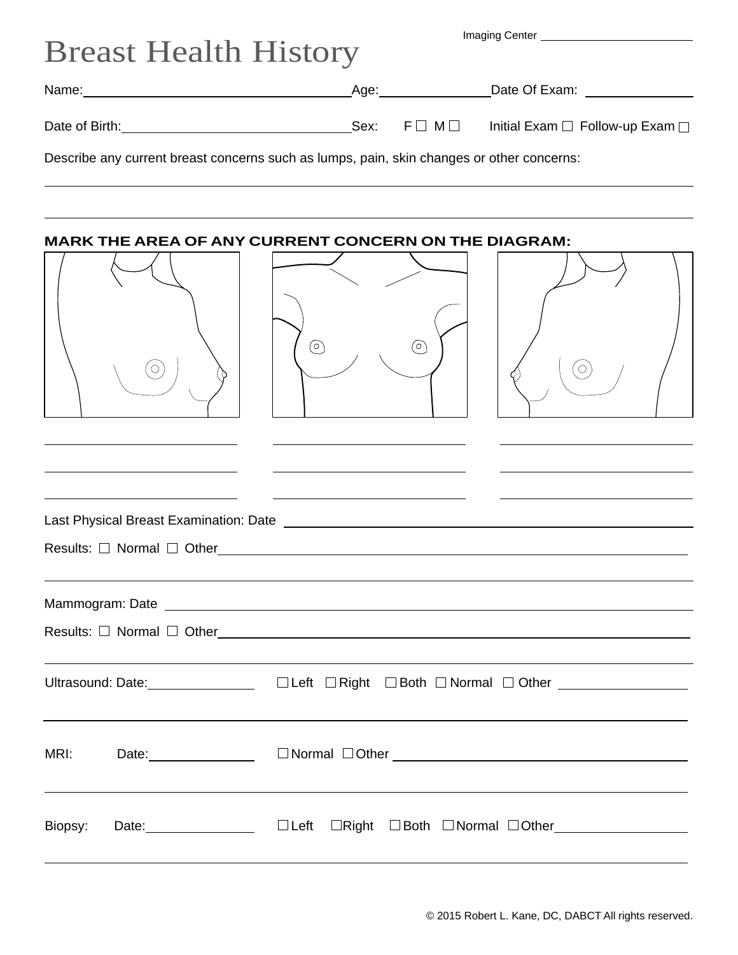| <b>Breast Health History</b>                                                              |  |  |                                                                                                                       |
|-------------------------------------------------------------------------------------------|--|--|-----------------------------------------------------------------------------------------------------------------------|
|                                                                                           |  |  |                                                                                                                       |
|                                                                                           |  |  | Date Of Exam: <u>New York Charles New York Charles New York Charles New York Charles New York Charles New York Ch</u> |
| Date of Birth: The Contract of Birth:                                                     |  |  | Sex: $F \square M \square$ Initial Exam $\square$ Follow-up Exam $\square$                                            |
| Describe any current breast concerns such as lumps, pain, skin changes or other concerns: |  |  |                                                                                                                       |

## **MARK THE AREA OF ANY CURRENT CONCERN ON THE DIAGRAM:**

| O                               | $^{\copyright}$<br>$\circledcirc$<br>$\sigma$                                                      |
|---------------------------------|----------------------------------------------------------------------------------------------------|
|                                 |                                                                                                    |
|                                 | Results: $\Box$ Normal $\Box$ Other                                                                |
|                                 | Ultrasound: Date: _____________________ □ Left □ Right □ Both □ Normal □ Other ___________________ |
| Date: _________________<br>MRI: |                                                                                                    |
| Biopsy:                         | $\Box$ Left                                                                                        |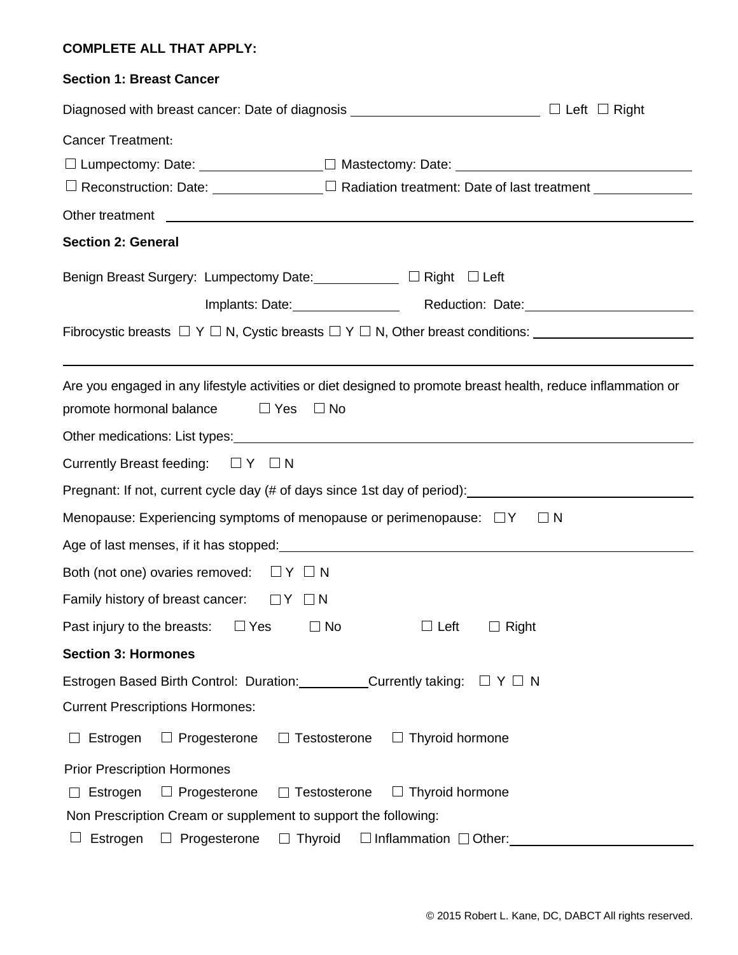## **COMPLETE ALL THAT APPLY:**

| <b>Section 1: Breast Cancer</b>                                                                                                                                                                                                                                                           |  |  |  |
|-------------------------------------------------------------------------------------------------------------------------------------------------------------------------------------------------------------------------------------------------------------------------------------------|--|--|--|
|                                                                                                                                                                                                                                                                                           |  |  |  |
| <b>Cancer Treatment:</b><br>□ Reconstruction: Date: ______________ □ Radiation treatment: Date of last treatment ____________                                                                                                                                                             |  |  |  |
| Other treatment <b>contained contained a set of the set of the set of the set of the set of the set of the set of the set of the set of the set of the set of the set of the set of the set of the set of the set of the set o</b>                                                        |  |  |  |
| <b>Section 2: General</b>                                                                                                                                                                                                                                                                 |  |  |  |
| Benign Breast Surgery: Lumpectomy Date: ___________ □ Right □ Left                                                                                                                                                                                                                        |  |  |  |
|                                                                                                                                                                                                                                                                                           |  |  |  |
| Fibrocystic breasts $\Box$ Y $\Box$ N, Cystic breasts $\Box$ Y $\Box$ N, Other breast conditions:                                                                                                                                                                                         |  |  |  |
| Are you engaged in any lifestyle activities or diet designed to promote breast health, reduce inflammation or<br>promote hormonal balance<br>$\Box$ Yes $\Box$ No                                                                                                                         |  |  |  |
| Currently Breast feeding: $\Box Y \Box N$                                                                                                                                                                                                                                                 |  |  |  |
| Pregnant: If not, current cycle day (# of days since 1st day of period): ___________________________                                                                                                                                                                                      |  |  |  |
| Menopause: Experiencing symptoms of menopause or perimenopause: $\Box Y$<br>$\sqcup$ N                                                                                                                                                                                                    |  |  |  |
| Age of last menses, if it has stopped: example and a stopped of last measurement of the state of the stopped of the stopped of the stopped of the stopped of the stopped of the stopped of the stopped of the stopped of the s                                                            |  |  |  |
| Both (not one) ovaries removed: $\Box Y \Box N$                                                                                                                                                                                                                                           |  |  |  |
| Family history of breast cancer:<br>$\Box Y$ $\Box N$                                                                                                                                                                                                                                     |  |  |  |
| $\Box$ Yes<br>$\Box$ No<br>$\Box$ Left<br>$\Box$ Right<br>Past injury to the breasts:                                                                                                                                                                                                     |  |  |  |
| <b>Section 3: Hormones</b>                                                                                                                                                                                                                                                                |  |  |  |
| Estrogen Based Birth Control: Duration: Currently taking: □ Y □ N                                                                                                                                                                                                                         |  |  |  |
| <b>Current Prescriptions Hormones:</b>                                                                                                                                                                                                                                                    |  |  |  |
| Estrogen<br>$\Box$ Progesterone<br>$\Box$ Testosterone $\Box$ Thyroid hormone                                                                                                                                                                                                             |  |  |  |
| <b>Prior Prescription Hormones</b><br>$\Box$ Progesterone<br>$\Box$ Testosterone<br>$\Box$ Thyroid hormone<br>$\Box$ Estrogen<br>Non Prescription Cream or supplement to support the following:<br>$\Box$ Thyroid<br>$\Box$ Inflammation $\Box$ Other:<br>Estrogen<br>$\Box$ Progesterone |  |  |  |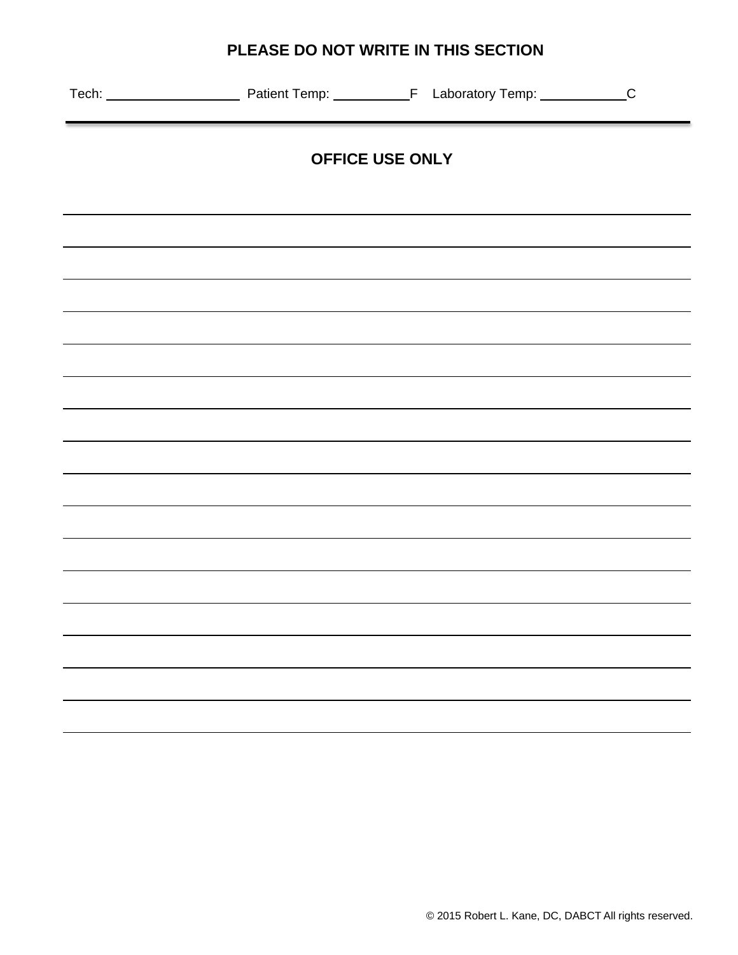# **PLEASE DO NOT WRITE IN THIS SECTION**

| OFFICE USE ONLY |  |  |  |  |
|-----------------|--|--|--|--|
|                 |  |  |  |  |
|                 |  |  |  |  |
|                 |  |  |  |  |
|                 |  |  |  |  |
|                 |  |  |  |  |
|                 |  |  |  |  |
|                 |  |  |  |  |
|                 |  |  |  |  |
|                 |  |  |  |  |
|                 |  |  |  |  |
|                 |  |  |  |  |
|                 |  |  |  |  |
|                 |  |  |  |  |
|                 |  |  |  |  |
|                 |  |  |  |  |